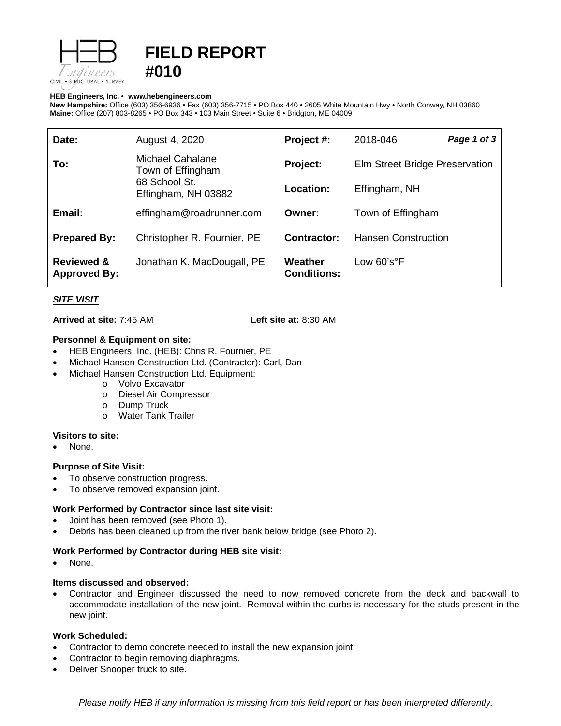

# **FIELD REPORT #010**

#### **HEB Engineers, Inc.** • **[www.hebengineer](http://www.hebengineers.com/)s.com**

**New Hampshire:** Office (603) 356-6936 • Fax (603) 356-7715 • PO Box 440 • 2605 White Mountain Hwy • North Conway, NH 03860 **Maine:** Office (207) 803-8265 • PO Box 343 • 103 Main Street • Suite 6 • Bridgton, ME 04009

| Date:                                        | August 4, 2020                                                                | Project #:                    | 2018-046                       | Page 1 of 3 |
|----------------------------------------------|-------------------------------------------------------------------------------|-------------------------------|--------------------------------|-------------|
| To:                                          | Michael Cahalane<br>Town of Effingham<br>68 School St.<br>Effingham, NH 03882 | Project:                      | Elm Street Bridge Preservation |             |
|                                              |                                                                               | <b>Location:</b>              | Effingham, NH                  |             |
| Email:                                       | effingham@roadrunner.com                                                      | Owner:                        | Town of Effingham              |             |
| <b>Prepared By:</b>                          | Christopher R. Fournier, PE                                                   | Contractor:                   | <b>Hansen Construction</b>     |             |
| <b>Reviewed &amp;</b><br><b>Approved By:</b> | Jonathan K. MacDougall, PE                                                    | Weather<br><b>Conditions:</b> | Low $60'soF$                   |             |

## *SITE VISIT*

**Arrived at site:** 7:45 AM **Left site at:** 8:30 AM

## **Personnel & Equipment on site:**

- HEB Engineers, Inc. (HEB): Chris R. Fournier, PE
- Michael Hansen Construction Ltd. (Contractor): Carl, Dan
- Michael Hansen Construction Ltd. Equipment:
	- o Volvo Excavator
	- o Diesel Air Compressor
	- o Dump Truck
	- o Water Tank Trailer

## **Visitors to site:**

None.

## **Purpose of Site Visit:**

- To observe construction progress.
- To observe removed expansion joint.

## **Work Performed by Contractor since last site visit:**

- Joint has been removed (see Photo 1).
- Debris has been cleaned up from the river bank below bridge (see Photo 2).

## **Work Performed by Contractor during HEB site visit:**

None.

## **Items discussed and observed:**

• Contractor and Engineer discussed the need to now removed concrete from the deck and backwall to accommodate installation of the new joint. Removal within the curbs is necessary for the studs present in the new joint.

## **Work Scheduled:**

- Contractor to demo concrete needed to install the new expansion joint.
- Contractor to begin removing diaphragms.
- Deliver Snooper truck to site.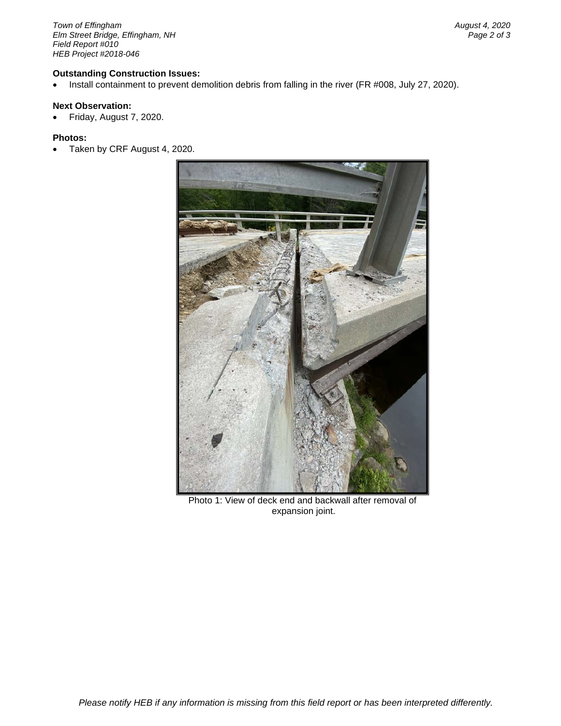*Town of Effingham August 4, 2020 <i>Elm Street Bridge, Effingham, NH Field Report #010 HEB Project #2018-046*

#### **Outstanding Construction Issues:**

• Install containment to prevent demolition debris from falling in the river (FR #008, July 27, 2020).

## **Next Observation:**

• Friday, August 7, 2020.

#### **Photos:**

• Taken by CRF August 4, 2020.



Photo 1: View of deck end and backwall after removal of expansion joint.